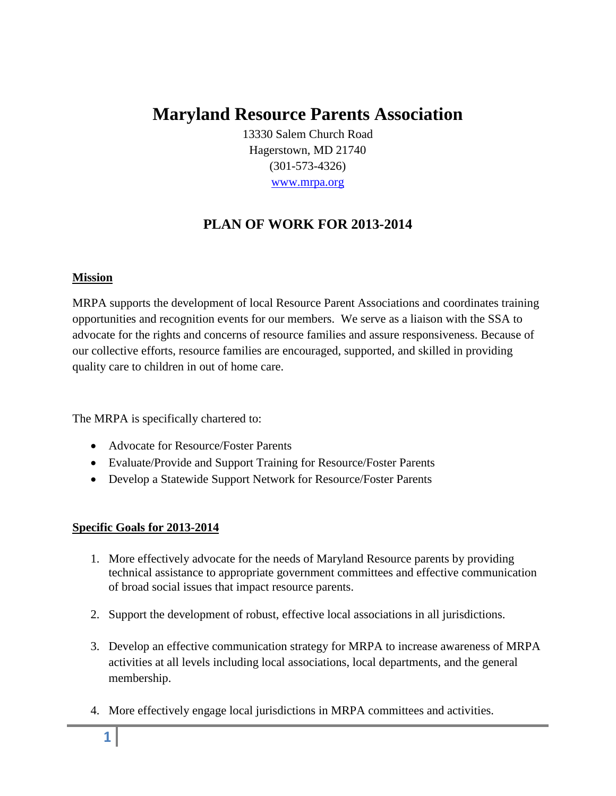# **Maryland Resource Parents Association**

13330 Salem Church Road Hagerstown, MD 21740 (301-573-4326) [www.mrpa.org](http://www.mrpa.org/)

# **PLAN OF WORK FOR 2013-2014**

#### **Mission**

MRPA supports the development of local Resource Parent Associations and coordinates training opportunities and recognition events for our members. We serve as a liaison with the SSA to advocate for the rights and concerns of resource families and assure responsiveness. Because of our collective efforts, resource families are encouraged, supported, and skilled in providing quality care to children in out of home care.

The MRPA is specifically chartered to:

- Advocate for Resource/Foster Parents
- Evaluate/Provide and Support Training for Resource/Foster Parents
- Develop a Statewide Support Network for Resource/Foster Parents

#### **Specific Goals for 2013-2014**

- 1. More effectively advocate for the needs of Maryland Resource parents by providing technical assistance to appropriate government committees and effective communication of broad social issues that impact resource parents.
- 2. Support the development of robust, effective local associations in all jurisdictions.
- 3. Develop an effective communication strategy for MRPA to increase awareness of MRPA activities at all levels including local associations, local departments, and the general membership.
- 4. More effectively engage local jurisdictions in MRPA committees and activities.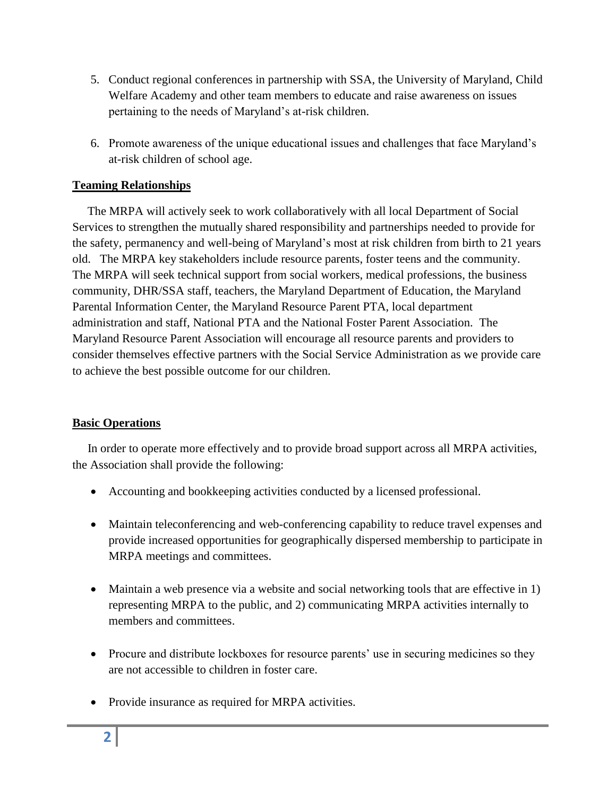- 5. Conduct regional conferences in partnership with SSA, the University of Maryland, Child Welfare Academy and other team members to educate and raise awareness on issues pertaining to the needs of Maryland's at-risk children.
- 6. Promote awareness of the unique educational issues and challenges that face Maryland's at-risk children of school age.

## **Teaming Relationships**

 The MRPA will actively seek to work collaboratively with all local Department of Social Services to strengthen the mutually shared responsibility and partnerships needed to provide for the safety, permanency and well-being of Maryland's most at risk children from birth to 21 years old. The MRPA key stakeholders include resource parents, foster teens and the community. The MRPA will seek technical support from social workers, medical professions, the business community, DHR/SSA staff, teachers, the Maryland Department of Education, the Maryland Parental Information Center, the Maryland Resource Parent PTA, local department administration and staff, National PTA and the National Foster Parent Association. The Maryland Resource Parent Association will encourage all resource parents and providers to consider themselves effective partners with the Social Service Administration as we provide care to achieve the best possible outcome for our children.

#### **Basic Operations**

 In order to operate more effectively and to provide broad support across all MRPA activities, the Association shall provide the following:

- Accounting and bookkeeping activities conducted by a licensed professional.
- Maintain teleconferencing and web-conferencing capability to reduce travel expenses and provide increased opportunities for geographically dispersed membership to participate in MRPA meetings and committees.
- Maintain a web presence via a website and social networking tools that are effective in 1) representing MRPA to the public, and 2) communicating MRPA activities internally to members and committees.
- Procure and distribute lockboxes for resource parents' use in securing medicines so they are not accessible to children in foster care.
- Provide insurance as required for MRPA activities.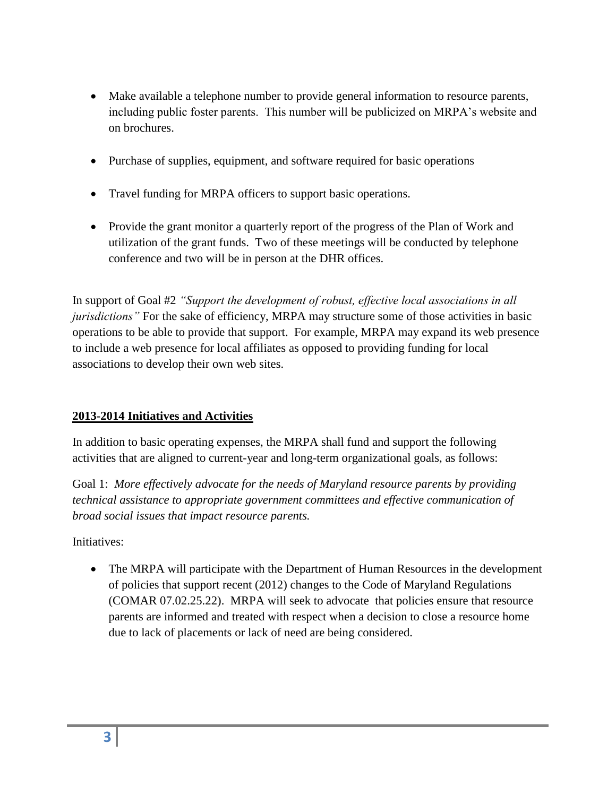- Make available a telephone number to provide general information to resource parents, including public foster parents. This number will be publicized on MRPA's website and on brochures.
- Purchase of supplies, equipment, and software required for basic operations
- Travel funding for MRPA officers to support basic operations.
- Provide the grant monitor a quarterly report of the progress of the Plan of Work and utilization of the grant funds. Two of these meetings will be conducted by telephone conference and two will be in person at the DHR offices.

In support of Goal #2 *"Support the development of robust, effective local associations in all jurisdictions*" For the sake of efficiency, MRPA may structure some of those activities in basic operations to be able to provide that support. For example, MRPA may expand its web presence to include a web presence for local affiliates as opposed to providing funding for local associations to develop their own web sites.

# **2013-2014 Initiatives and Activities**

In addition to basic operating expenses, the MRPA shall fund and support the following activities that are aligned to current-year and long-term organizational goals, as follows:

Goal 1: *More effectively advocate for the needs of Maryland resource parents by providing technical assistance to appropriate government committees and effective communication of broad social issues that impact resource parents.*

Initiatives:

• The MRPA will participate with the Department of Human Resources in the development of policies that support recent (2012) changes to the Code of Maryland Regulations (COMAR 07.02.25.22). MRPA will seek to advocate that policies ensure that resource parents are informed and treated with respect when a decision to close a resource home due to lack of placements or lack of need are being considered.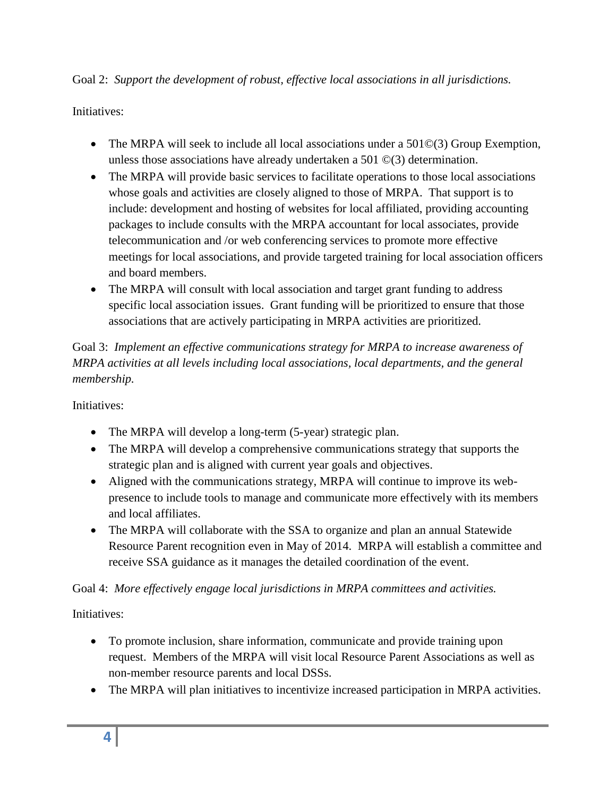Goal 2: *Support the development of robust, effective local associations in all jurisdictions.*

Initiatives:

- The MRPA will seek to include all local associations under a 501©(3) Group Exemption, unless those associations have already undertaken a 501 ©(3) determination.
- The MRPA will provide basic services to facilitate operations to those local associations whose goals and activities are closely aligned to those of MRPA. That support is to include: development and hosting of websites for local affiliated, providing accounting packages to include consults with the MRPA accountant for local associates, provide telecommunication and /or web conferencing services to promote more effective meetings for local associations, and provide targeted training for local association officers and board members.
- The MRPA will consult with local association and target grant funding to address specific local association issues. Grant funding will be prioritized to ensure that those associations that are actively participating in MRPA activities are prioritized.

Goal 3: *Implement an effective communications strategy for MRPA to increase awareness of MRPA activities at all levels including local associations, local departments, and the general membership.*

Initiatives:

- The MRPA will develop a long-term (5-year) strategic plan.
- The MRPA will develop a comprehensive communications strategy that supports the strategic plan and is aligned with current year goals and objectives.
- Aligned with the communications strategy, MRPA will continue to improve its webpresence to include tools to manage and communicate more effectively with its members and local affiliates.
- The MRPA will collaborate with the SSA to organize and plan an annual Statewide Resource Parent recognition even in May of 2014. MRPA will establish a committee and receive SSA guidance as it manages the detailed coordination of the event.

Goal 4: *More effectively engage local jurisdictions in MRPA committees and activities.*

Initiatives:

- To promote inclusion, share information, communicate and provide training upon request. Members of the MRPA will visit local Resource Parent Associations as well as non-member resource parents and local DSSs.
- The MRPA will plan initiatives to incentivize increased participation in MRPA activities.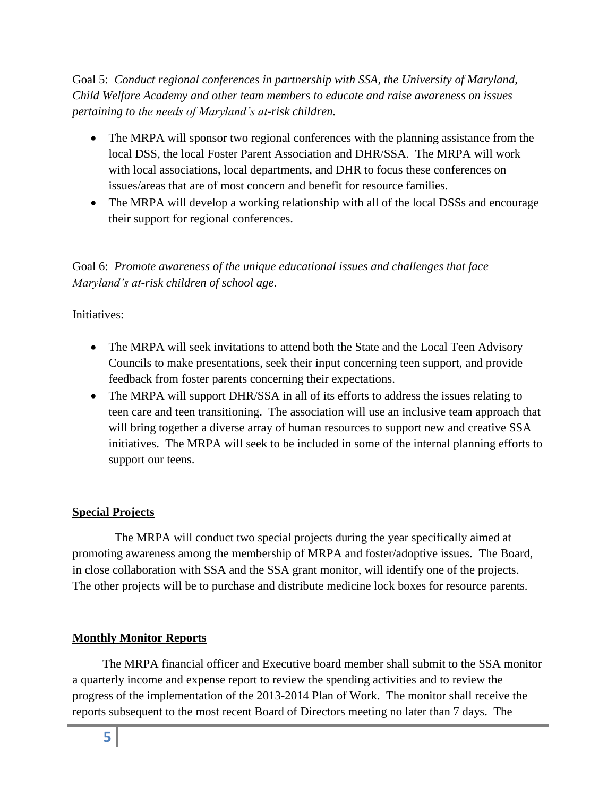Goal 5: *Conduct regional conferences in partnership with SSA, the University of Maryland, Child Welfare Academy and other team members to educate and raise awareness on issues pertaining to the needs of Maryland's at-risk children.*

- The MRPA will sponsor two regional conferences with the planning assistance from the local DSS, the local Foster Parent Association and DHR/SSA. The MRPA will work with local associations, local departments, and DHR to focus these conferences on issues/areas that are of most concern and benefit for resource families.
- The MRPA will develop a working relationship with all of the local DSSs and encourage their support for regional conferences.

Goal 6: *Promote awareness of the unique educational issues and challenges that face Maryland's at-risk children of school age*.

# Initiatives:

- The MRPA will seek invitations to attend both the State and the Local Teen Advisory Councils to make presentations, seek their input concerning teen support, and provide feedback from foster parents concerning their expectations.
- The MRPA will support DHR/SSA in all of its efforts to address the issues relating to teen care and teen transitioning. The association will use an inclusive team approach that will bring together a diverse array of human resources to support new and creative SSA initiatives. The MRPA will seek to be included in some of the internal planning efforts to support our teens.

#### **Special Projects**

 The MRPA will conduct two special projects during the year specifically aimed at promoting awareness among the membership of MRPA and foster/adoptive issues. The Board, in close collaboration with SSA and the SSA grant monitor, will identify one of the projects. The other projects will be to purchase and distribute medicine lock boxes for resource parents.

# **Monthly Monitor Reports**

 The MRPA financial officer and Executive board member shall submit to the SSA monitor a quarterly income and expense report to review the spending activities and to review the progress of the implementation of the 2013-2014 Plan of Work. The monitor shall receive the reports subsequent to the most recent Board of Directors meeting no later than 7 days. The